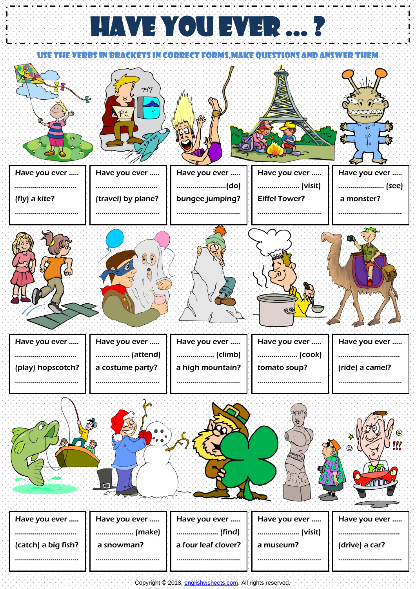## HAVE YOU EVER ..

USE THE VERBS IN BRACKETS IN CORRECT FORMS,MAKE QUESTIONS AND ANSWER THEM